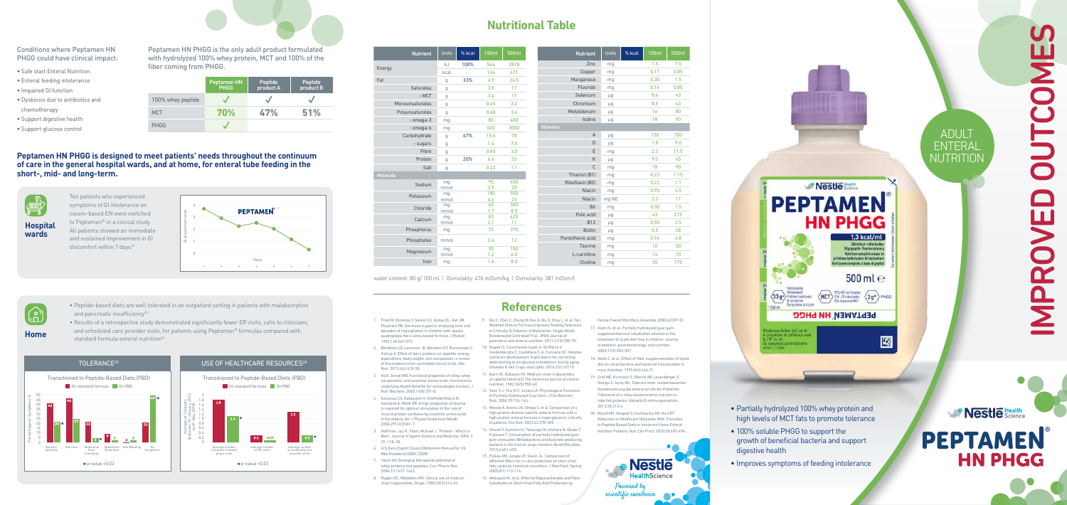# **Nutritional Table**

water content: 80 g/ 100 ml | Osmolality: 476 mOsm/kg | Osmolarity: 381 mOsm/l

| <b>Nutrient</b>  | <b>Units</b> | % kcal | <b>100ml</b> | 500ml |
|------------------|--------------|--------|--------------|-------|
| Zinc             | mg           |        | 1.5          | 7.5   |
| Copper           | mg           |        | 0.17         | 0.85  |
| Manganese        | mg           |        | 0.30         | 1.5   |
| Fluoride         | mg           |        | 0.16         | 0.80  |
| Selenium         | μg           |        | 8.6          | 43    |
| Chromium         | μg           |        | 8.5          | 43    |
| Molybdenum       | μg           |        | 16           | 80    |
| lodine           | μg           |        | 18           | 90    |
| <b>Vitamins</b>  |              |        |              |       |
| $\overline{A}$   | μg           |        | 150          | 750   |
| D                | $\mu$ g      |        | 1.8          | 9.0   |
| E                | mg           |        | 2.3          | 11.5  |
| K                | μg           |        | 9.0          | 45    |
| C                | mg           |        | 18           | 90    |
| Thiamin (B1)     | mg           |        | 0.23         | 1.15  |
| Riboflavin (B2)  | mg           |        | 0.22         | 1.1   |
| Niacin           | mg           |        | 0.90         | 4.5   |
| Niacin           | mg NE        |        | 3.3          | 17    |
| <b>B6</b>        | mg           |        | 0.30         | 1.5   |
| Folic acid       | μg           |        | 43           | 215   |
| <b>B12</b>       | μg           |        | 0.50         | 2.5   |
| <b>Biotin</b>    | μg           |        | 5.5          | 28    |
| Pantothenic acid | mg           |        | 0.96         | 4.8   |
| <b>Taurine</b>   | mg           |        | 10           | 50    |
| L-carnitine      | mg           |        | 14           | 70    |
| Choline          | mg           |        | 35           | 175   |

- 
- 
- 

| <b>Nutrient</b>  | <b>Units</b> | % kcal | <b>100ml</b> | 500ml      |
|------------------|--------------|--------|--------------|------------|
|                  | kJ           | 100%   | 564          | 2818       |
| Energy           | kcal         |        | 134          | 671        |
| Fat              | g            | 33%    | 4.9          | 24.5       |
| <b>Saturates</b> | g            |        | 3.5          | 17         |
| - MCT            | g            |        | 3.4          | 17         |
| Monounsaturates  | g            |        | 0.45         | 2.2        |
| Polyunsaturates  | g            |        | 0.68         | 3.4        |
| - omega-3        | mg           |        | 80           | 400        |
| - omega-6        | mg           |        | 600          | 3000       |
| Carbohydrate     | g            | 47%    | 15.6         | 78         |
| - sugars         | g            |        | 1.4          | 7.0        |
| Fibre            | g            |        | 0.60         | 3.0        |
| Protein          |              | 20%    | 6.6          | 33         |
| Salt             | g            |        | 0.22         | 1.1        |
| <b>Minerals</b>  | g            |        |              |            |
|                  | mg           |        | 90           | 450        |
| Sodium           | mmol         |        | 3.9          | 20         |
| Potassium        | mg           |        | 180          | 900        |
|                  | mmol         |        | 4.6          | 23         |
| Chloride         | mg<br>mmol   |        | 60<br>1.7    | 300<br>8.5 |
|                  | mg           |        | 85           | 425        |
| Calcium          | mmol         |        | 2.1          | 11         |
| Phosphorus       | mg           |        | 75           | 375        |
| Phosphates       | mmol         |        | 2.4          | 12         |
| Magnesium        | mg           |        | 30           | 150        |
|                  | mmol         |        | 1.2          | 6.0        |
| Iron             | mg           |        | 1.6          | 8.0        |

- 1. Fried M, Khoshoo V, Secker DJ, Gilday DL, Ash JM, Pencharz PB. Decrease in gastric emptying time and episodes of regurgitation in children with spastic quadriplegia fed a whey-based formula. J Pediatr. 1992;120:569-572.
- 2. Bendtsen LQ, Lorenzen JK, Bendsen NT, Rasmussen C, Astrup A. Effect of dairy proteins on appetite, energy expenditure, body weight, and composition: a review of the evidence from controlled clinical trials. Adv Nutr. 2013;4(4):418-38.
- 3. Ha E, Zemel MB. Functional properties of whey, whey components, and essential amino acids: mechanisms underlying health benefits for active people (review). J Nutr Biochem. 2003;14(5):251-8.
- 4. Katsanos CS, Kobayashi H, Sheffield-Moore M, Aarsland A, Wolfe RR. A high proportion of leucine is required for optimal stimulation of the rate of muscle protein synthesis by essential amino acids in the elderly. Am J Physiol Endocrinol Metab. 2006;291(2):E381-7.
- 5. Hoffman, Jay R.; Falvo, Michael J. "Protein Which is Best". Journal of Sports Science and Medicine. 2004: 3 (3): 118–30.
- 6. U.S.Dairy Export Council.Reference Manual for US Milk Powders(USDEC 2005)
- 7. Yalcin AS. Emerging therapeutic potential of whey proteins and peptides. Curr Pharm Des. 2006;12:1637-1643.
- 8. Ruppin DC, Middleton WR. Clinical use of medium chain triglycerides. Drugs. 1980;20(3):216-24.

Ten patients who experienced symptoms of GI intolerance on casein-based EN were switched to Peptamen® in a clinical study. All patients showed an immediate and sustained improvement in GI discomfort within  $7$  days<sup>19</sup>

• Results of a retrospective study demonstrated significantly fewer ER visits, calls to clinicians, and scheduled care provider visits, for patients using Peptamen® formulas compared with standard formula enteral nutrition<sup>20</sup>

- 9. Qiu C, Chen C, Zhang W, Kou Q, Wu S, Zhou L, et al. Fat-Modified Enteral Formula Improves Feeding Tolerance in Critically III Patients: A Multicenter, Single-Blind Randomized Controlled Trial. JPEN Journal of parenteral and enteral nutrition. 2017;41(5):785-95.
- 10. Nugent S, Courchesne-Loyer A, St-Pierre V, Vandenberghe C, Castellano C-A, Cunnane SC. Ketones and brain development: Implications for correcting deteriorating brain glucose metabolism during aging. Oilseeds & fats Crops and Lipids. 2016;23(1):D110.
- 11. Bach AC, Babayan VK. Medium-chain triglycerides: an update [abstract]. The American journal of clinical nutrition. 1982;36(5):950-62.
- 12. Yoon S-J, Chu D-C, Juneja LR. Physiological Functions of Partially Hydrolyzed Guar Gum. J Clin Biochem Nutr. 2006;39:134-144. 13. Mesejo A, Acosta JA, Ortega C, et al. Comparison of a
- high-protein disease-specific enteral formula with a high-protein enteral formula in hyperglycemic critically ill patients. Clin Nutr. 2003;22:295-305. 14. Ohashi Y, Sumitani K, Tokunaga M, Ishihara N, Okubo T,
- Fujisawa T. Consumption of partially hydrolysed guar gum stimulates Bifidobacteria and butyrate-producing bacteria in the human large intestine. Benef Microbes. 2015;6:451-455. 15. Pylkas AM, Juneja LR, Slavin JL. Comparison of
- different fibers for in vitro production of short chain fatty acids by intestinal microflora. J Med Food. Spring 2005;8(1):113-116.
- 16. Velázquez M., et al., Effect of Oligosaccharides and Fibre Substitutes on Short-chain Fatty Acid Production by

high levels of MCT fats to promote tolerance • 100% soluble PHGG to support the growth of beneficial bacteria and support digestive health **Nestle** 

# IMPROVED OUTCOMES $\mathbf{\overline{\alpha}}$

Human Faecal Microflora. Anaerobe. 2000;6(2):87-92

- 17. Alam N., et al., Partially hydrolyzed guar gumsupplemented oral rehydration solution in the treatment of acute diarrhea in children. Journal of pediatric gastroenterology and nutrition. 2000;31(5):503-507.
- 18. Wells C. et al., Effect of fiber supplementation of liquid diet on cecal bacteria and bacterial translocation in mice. Nutrition. 1992;8(4):266-71.
- 19. Graf MG, Kurmann S, Sterchi AB, Leuenberger Z, Stanga Z, Joray ML. Toleranz einer molkenbasierten Sondennahrung bei enteral ernährten Patienten (Tolerance of a whey-based enteral nutrition in tube fed patients). Aktuelle Ernährungsmedizin. 2013;38:213-4.
- 20. Mundi MS, Velapati S, Kuchkuntla AR, Hurt RT. Reduction in Healthcare Utilization With Transition to Peptide-Based Diets in Intolerant Home Enteral Nutrition Patients. Nutr Clin Pract. 2020;35:487-494.

Powered b scientific excellence

**HealthScience** 

# **References**

|                   | <b>Peptamen HN</b><br><b>PHGG</b> | <b>Peptide</b><br>product A | <b>Peptide</b><br>product B |
|-------------------|-----------------------------------|-----------------------------|-----------------------------|
| 100% whey peptide |                                   |                             |                             |
| <b>MCT</b>        | <b>70%</b>                        | 47%                         | 51%                         |
| <b>PHGG</b>       |                                   |                             |                             |



### Conditions where Peptamen HN PHGG could have clinical impact:

- Safe start Enteral Nutrition
- Enteral feeding intolerance
- Impaired GI function
- Dysbiosis due to antibiotics and chemotherapy
- Support digestive health
- Support glucose control

Peptamen HN PHGG is the only adult product formulated with hydrolyzed 100% whey protein, MCT and 100% of the fiber coming from PHGG.

### **Peptamen HN PHGG is designed to meet patients' needs throughout the continuum of care in the general hospital wards, and at home, for enteral tube feeding in the short-, mid- and long-term.**



- 
- Peptide-based diets are well tolerated in an outpatient setting in patients with malabsorption and pancreatic insufficiency<sup>20</sup>
- **Home**



### USE OF HEALTHCARE RESOURCES<sup>20</sup>



**Hospital wards**



• Partially hydrolyzed 100% whey protein and

 $\langle 339 \rangle$ 

findestens halfbar bis/ Lot-Nr. i consommer de préférence avai<br>e / N° de lot :

consumatsi porteribilmente

tre e / Lotto

Protéines hydrolysées<br>de lactoséram<br>Sieroproteine idrolizzate

**Nestle** Science

**HN PHGG** 

1,3 kcal/ml

 $500$  ml  $e$ 

國

 $\left\langle \overline{\text{MCT}}\right\rangle_{\substack{70\% \text{ AGT in Fettantsal} \\ 70\% \text{ of } \text{guess } \text{ of } \text{AGT}}}^{\text{70\% KCT in Fettantsal}} \left\langle \text{3g*}\right\rangle_{\text{PHGG}}$ 

**PEPTAMEN HN PHGG** 

**Oligopeptid-Sondennahru** Nutrition complète à base de rotéines hydrolysées de lactosérum ibitione completa a base di peotidi

**PEPTAMEN** 

# **Nestle** Science **PEPTAMEN HN PHGG**

• Improves symptoms of feeding intolerance

ADULT

ENTERAL

**NUTRITION**